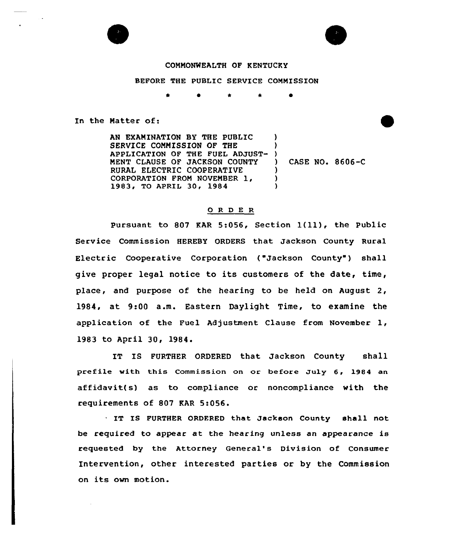

## COMMONWEALTH OF KENTUCKY

BEFORE THE PUBLIC SERVICE COMMISSION

 $\bullet$ 

In the Matter of:

AN EXAMINATION BY THE PUBLIC SERVICE COMMISSION OF THE APPLICATION OF THE FUEL ADJUST-) MENT CLAUSE OF JACKSON COUNTY RURAL ELECTRIC COOPERATIVE CORPORATION FROM NOVEMBER 1, 1983, TO APRIL 30, <sup>1984</sup>  $\lambda$ ) ) CASE NO. 8606-C ) ) )

## 0 R <sup>D</sup> E R

Pursuant to <sup>807</sup> KAR 5:056, Section l(ll), the Public Service Commission HEREBY ORDERS that Jackson County Rural Electric Cooperative Corporation ("Jackson County") shall give proper legal notice to its customers of the date, time, place, and purpose of the hearing to be held on August 2, 1984, at 9<00 a.m. Eastern Daylight Time, to examine the application of the Fuel Adjustment Clause from November 1, 1983 to April 30, 1984.

IT IS FURTHER ORDERED that Jackson County shall prefile with this Commission on or before July 6, 1984 an affidavit(s) as to compliance or noncompliance with the requirements of 807 KAR 5:056.

IT IS FURTHER ORDFRED that Jackson County shall not be required to appear at the hearing unless an appearance is requested by the Attorney General's Division of Consumer Intervention, other interested parties or by the Commission on its own motion.